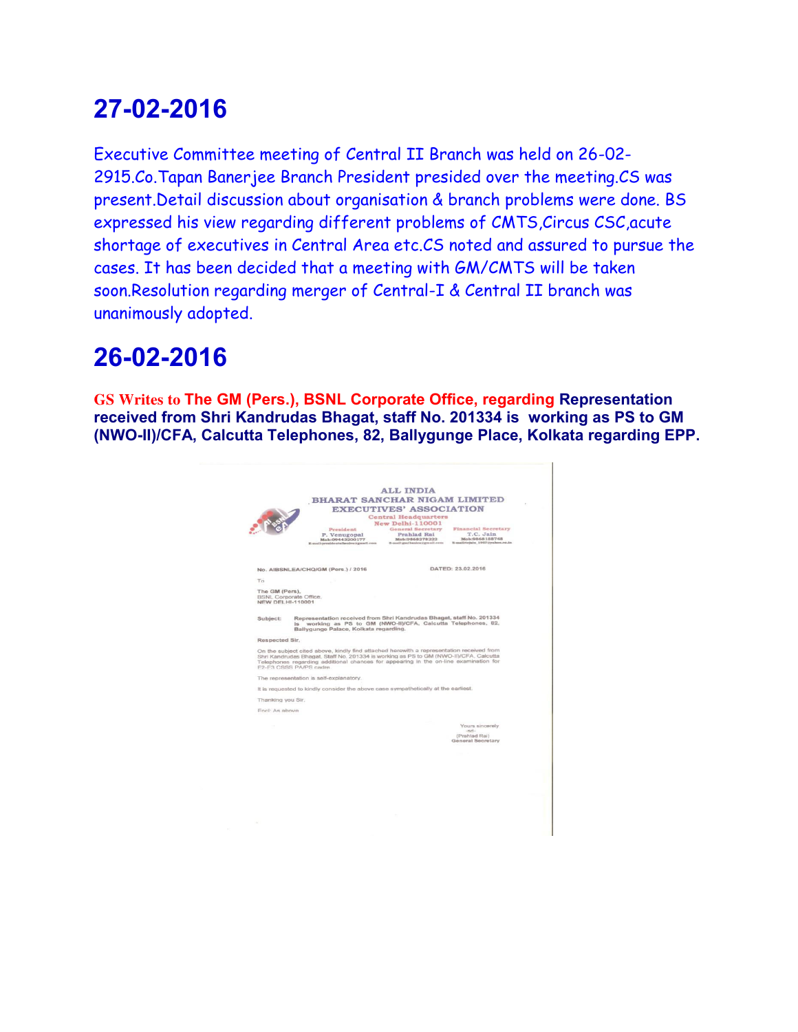Executive Committee meeting of Central II Branch was held on 26-02- 2915.Co.Tapan Banerjee Branch President presided over the meeting.CS was present.Detail discussion about organisation & branch problems were done. BS expressed his view regarding different problems of CMTS,Circus CSC,acute shortage of executives in Central Area etc.CS noted and assured to pursue the cases. It has been decided that a meeting with GM/CMTS will be taken soon.Resolution regarding merger of Central-I & Central II branch was unanimously adopted.

# **26-02-2016**

**GS Writes to The GM (Pers.), BSNL Corporate Office, regarding Representation received from Shri Kandrudas Bhagat, staff No. 201334 is working as PS to GM (NWO-II)/CFA, Calcutta Telephones, 82, Ballygunge Place, Kolkata regarding EPP.** 

|                                           | <b>BHARAT SANCHAR NIGAM LIMITED</b>                                                                                                                                                                                                                                                                 |                                                                                         |                                                                                              |  |
|-------------------------------------------|-----------------------------------------------------------------------------------------------------------------------------------------------------------------------------------------------------------------------------------------------------------------------------------------------------|-----------------------------------------------------------------------------------------|----------------------------------------------------------------------------------------------|--|
|                                           |                                                                                                                                                                                                                                                                                                     | <b>EXECUTIVES' ASSOCIATION</b>                                                          |                                                                                              |  |
|                                           |                                                                                                                                                                                                                                                                                                     | <b>Central Headquarters</b>                                                             |                                                                                              |  |
|                                           |                                                                                                                                                                                                                                                                                                     | New Delhi-110001<br><b>General Secretary</b><br><b>Financial Secretary</b><br>President |                                                                                              |  |
|                                           | P. Venugopal<br>Mob:09443200177<br>E-mail:presidentalberdes:igmail.com                                                                                                                                                                                                                              | Prahlad Rai<br>Mob:9868278222                                                           | T.C. Jain<br>Mob:9868188748<br>E-mail:geatbanles://gmail.com E-mail:tejain_1957//yahoo.co.in |  |
|                                           |                                                                                                                                                                                                                                                                                                     |                                                                                         | DATED: 23.02.2016                                                                            |  |
|                                           | No. AIBSNLEA/CHQ/GM (Pers.) / 2016                                                                                                                                                                                                                                                                  |                                                                                         |                                                                                              |  |
| To                                        |                                                                                                                                                                                                                                                                                                     |                                                                                         |                                                                                              |  |
| The GM (Pers),<br><b>NEW DELHI-110001</b> | BSNL Corporate Office.                                                                                                                                                                                                                                                                              |                                                                                         |                                                                                              |  |
| Subject:                                  | Representation received from Shri Kandrudas Bhagat, staff No. 201334<br>is working as PS to GM (NWO-II)/CFA, Calcutta Telephones, 82,<br>Ballygunge Palace, Kolkata regarding.                                                                                                                      |                                                                                         |                                                                                              |  |
| Respected Sir.                            |                                                                                                                                                                                                                                                                                                     |                                                                                         |                                                                                              |  |
|                                           | On the subject cited above, kindly find attached herewith a representation received from<br>Shri Kandrudas Bhagat, Staff No. 201334 is working as PS to GM (NWO-II)/CFA. Calcutta<br>Telephones regarding additional chances for appearing in the on-line examination for<br>F2-F3 CSSS PA/PS cadre |                                                                                         |                                                                                              |  |
|                                           | The representation is self-explanatory.                                                                                                                                                                                                                                                             |                                                                                         |                                                                                              |  |
|                                           | It is requested to kindly consider the above case sympathetically at the earliest.                                                                                                                                                                                                                  |                                                                                         |                                                                                              |  |
| Thanking you Sir.                         |                                                                                                                                                                                                                                                                                                     |                                                                                         |                                                                                              |  |
| Encl: As above                            |                                                                                                                                                                                                                                                                                                     |                                                                                         |                                                                                              |  |
|                                           |                                                                                                                                                                                                                                                                                                     |                                                                                         |                                                                                              |  |
| o.                                        |                                                                                                                                                                                                                                                                                                     |                                                                                         | Yours sincerely<br>$-net-$                                                                   |  |
|                                           |                                                                                                                                                                                                                                                                                                     |                                                                                         | (Prahlad Rai)<br>General Secretary                                                           |  |
|                                           |                                                                                                                                                                                                                                                                                                     |                                                                                         |                                                                                              |  |
|                                           |                                                                                                                                                                                                                                                                                                     |                                                                                         |                                                                                              |  |
|                                           |                                                                                                                                                                                                                                                                                                     |                                                                                         |                                                                                              |  |
|                                           |                                                                                                                                                                                                                                                                                                     |                                                                                         |                                                                                              |  |
|                                           |                                                                                                                                                                                                                                                                                                     |                                                                                         |                                                                                              |  |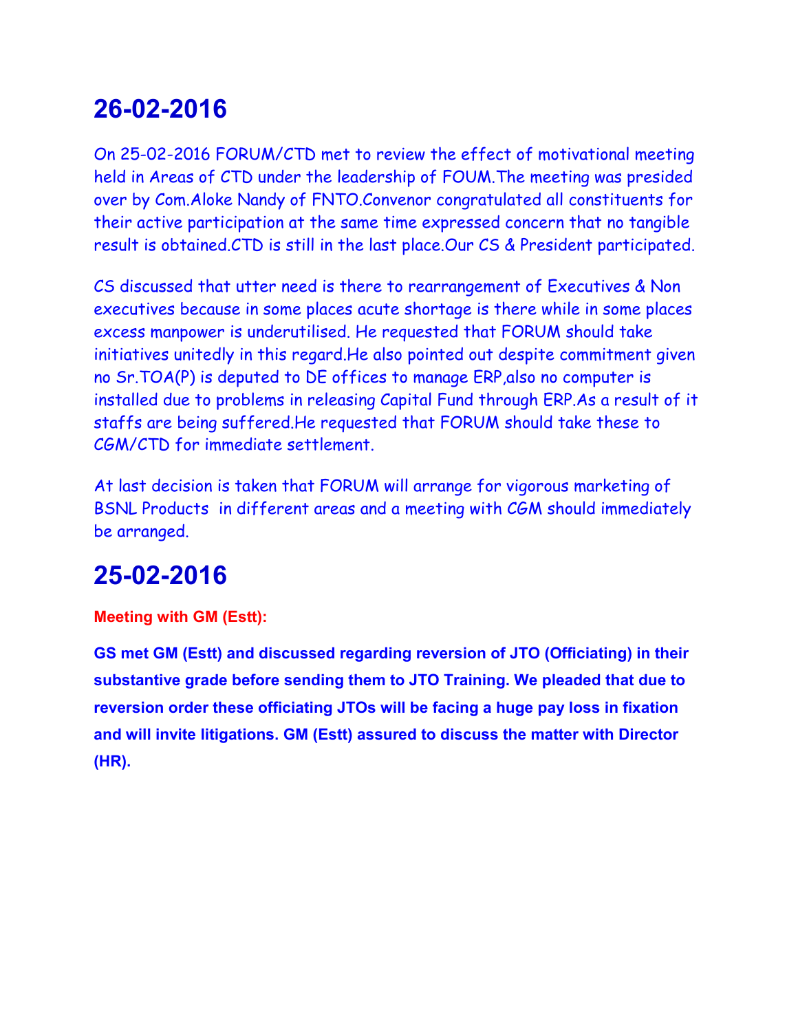On 25-02-2016 FORUM/CTD met to review the effect of motivational meeting held in Areas of CTD under the leadership of FOUM.The meeting was presided over by Com.Aloke Nandy of FNTO.Convenor congratulated all constituents for their active participation at the same time expressed concern that no tangible result is obtained.CTD is still in the last place.Our CS & President participated.

CS discussed that utter need is there to rearrangement of Executives & Non executives because in some places acute shortage is there while in some places excess manpower is underutilised. He requested that FORUM should take initiatives unitedly in this regard.He also pointed out despite commitment given no Sr.TOA(P) is deputed to DE offices to manage ERP,also no computer is installed due to problems in releasing Capital Fund through ERP.As a result of it staffs are being suffered.He requested that FORUM should take these to CGM/CTD for immediate settlement.

At last decision is taken that FORUM will arrange for vigorous marketing of BSNL Products in different areas and a meeting with CGM should immediately be arranged.

# **25-02-2016**

#### **Meeting with GM (Estt):**

**GS met GM (Estt) and discussed regarding reversion of JTO (Officiating) in their substantive grade before sending them to JTO Training. We pleaded that due to reversion order these officiating JTOs will be facing a huge pay loss in fixation and will invite litigations. GM (Estt) assured to discuss the matter with Director (HR).**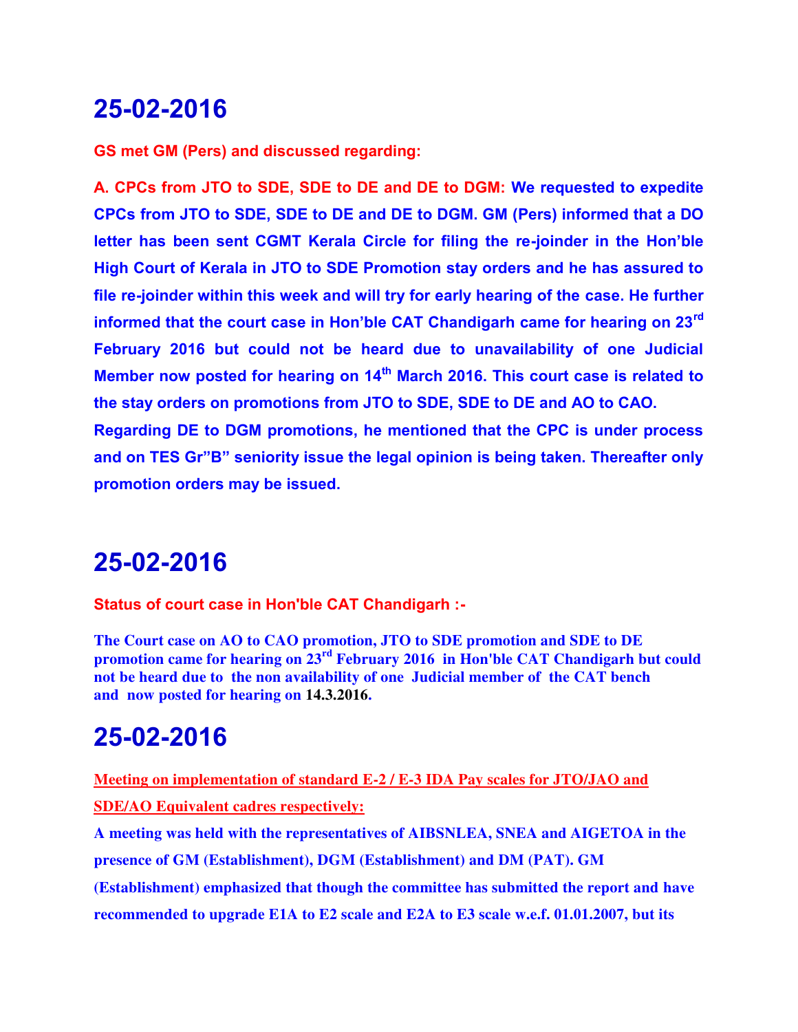**GS met GM (Pers) and discussed regarding:**

**A. CPCs from JTO to SDE, SDE to DE and DE to DGM: We requested to expedite CPCs from JTO to SDE, SDE to DE and DE to DGM. GM (Pers) informed that a DO letter has been sent CGMT Kerala Circle for filing the re-joinder in the Hon'ble High Court of Kerala in JTO to SDE Promotion stay orders and he has assured to file re-joinder within this week and will try for early hearing of the case. He further informed that the court case in Hon'ble CAT Chandigarh came for hearing on 23rd February 2016 but could not be heard due to unavailability of one Judicial Member now posted for hearing on 14th March 2016. This court case is related to the stay orders on promotions from JTO to SDE, SDE to DE and AO to CAO. Regarding DE to DGM promotions, he mentioned that the CPC is under process and on TES Gr"B" seniority issue the legal opinion is being taken. Thereafter only promotion orders may be issued.** 

#### **25-02-2016**

**Status of court case in Hon'ble CAT Chandigarh :-**

**The Court case on AO to CAO promotion, JTO to SDE promotion and SDE to DE promotion came for hearing on 23rd February 2016 in Hon'ble CAT Chandigarh but could not be heard due to the non availability of one Judicial member of the CAT bench and now posted for hearing on 14.3.2016.**

#### **25-02-2016**

**Meeting on implementation of standard E-2 / E-3 IDA Pay scales for JTO/JAO and SDE/AO Equivalent cadres respectively:**

**A meeting was held with the representatives of AIBSNLEA, SNEA and AIGETOA in the presence of GM (Establishment), DGM (Establishment) and DM (PAT). GM (Establishment) emphasized that though the committee has submitted the report and have recommended to upgrade E1A to E2 scale and E2A to E3 scale w.e.f. 01.01.2007, but its**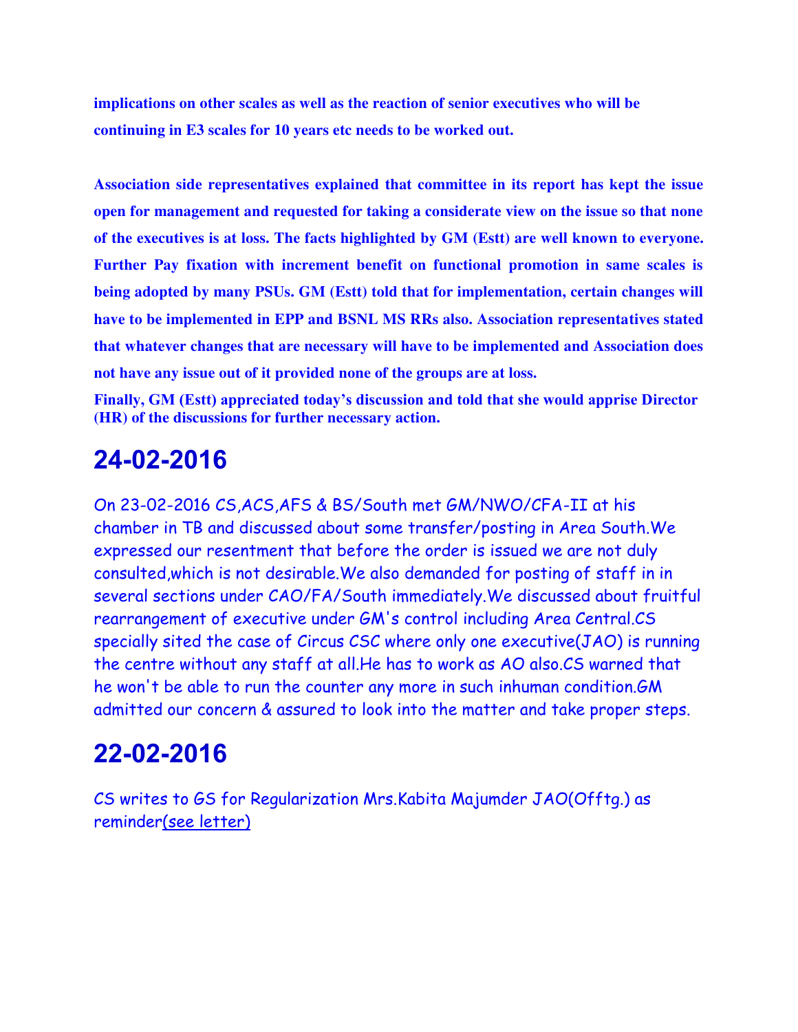**implications on other scales as well as the reaction of senior executives who will be continuing in E3 scales for 10 years etc needs to be worked out.**

**Association side representatives explained that committee in its report has kept the issue open for management and requested for taking a considerate view on the issue so that none of the executives is at loss. The facts highlighted by GM (Estt) are well known to everyone. Further Pay fixation with increment benefit on functional promotion in same scales is being adopted by many PSUs. GM (Estt) told that for implementation, certain changes will have to be implemented in EPP and BSNL MS RRs also. Association representatives stated that whatever changes that are necessary will have to be implemented and Association does not have any issue out of it provided none of the groups are at loss.**

**Finally, GM (Estt) appreciated today's discussion and told that she would apprise Director (HR) of the discussions for further necessary action.**

#### **24-02-2016**

On 23-02-2016 CS,ACS,AFS & BS/South met GM/NWO/CFA-II at his chamber in TB and discussed about some transfer/posting in Area South.We expressed our resentment that before the order is issued we are not duly consulted,which is not desirable.We also demanded for posting of staff in in several sections under CAO/FA/South immediately.We discussed about fruitful rearrangement of executive under GM's control including Area Central.CS specially sited the case of Circus CSC where only one executive(JAO) is running the centre without any staff at all.He has to work as AO also.CS warned that he won't be able to run the counter any more in such inhuman condition.GM admitted our concern & assured to look into the matter and take proper steps.

## **22-02-2016**

CS writes to GS for Regularization Mrs.Kabita Majumder JAO(Offtg.) as reminde[r\(see letter\)](http://aibsnleawb.org/KABITA.pdf)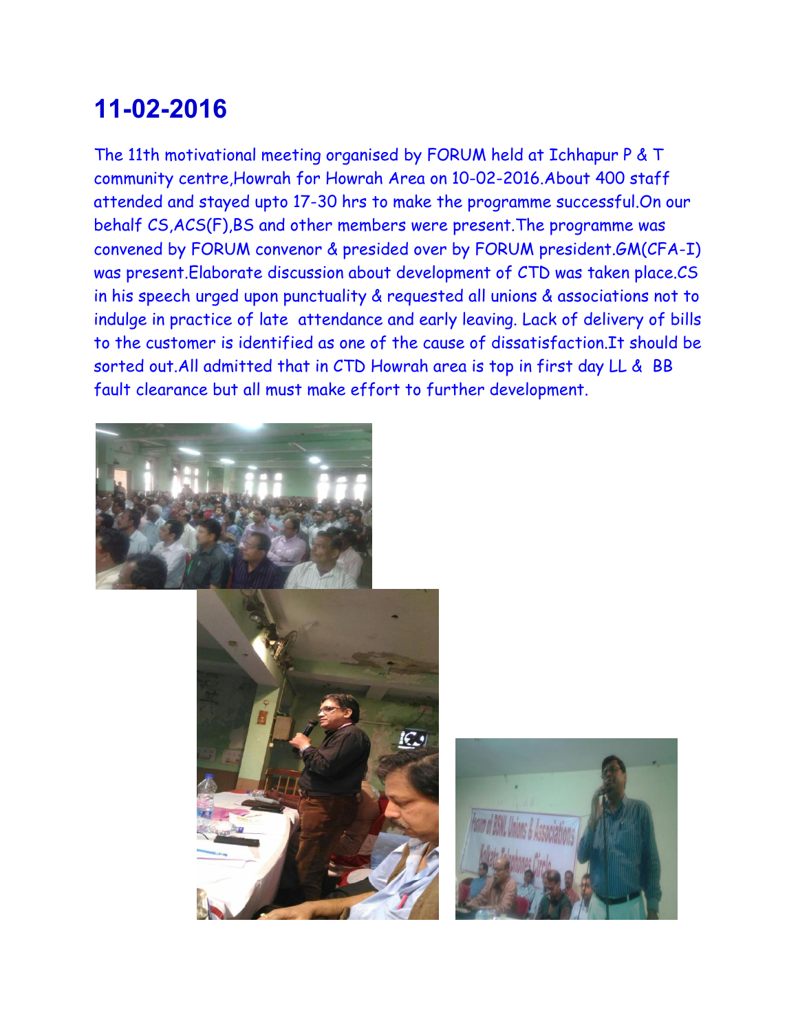The 11th motivational meeting organised by FORUM held at Ichhapur P & T community centre,Howrah for Howrah Area on 10-02-2016.About 400 staff attended and stayed upto 17-30 hrs to make the programme successful.On our behalf CS,ACS(F),BS and other members were present.The programme was convened by FORUM convenor & presided over by FORUM president.GM(CFA-I) was present.Elaborate discussion about development of CTD was taken place.CS in his speech urged upon punctuality & requested all unions & associations not to indulge in practice of late attendance and early leaving. Lack of delivery of bills to the customer is identified as one of the cause of dissatisfaction.It should be sorted out.All admitted that in CTD Howrah area is top in first day LL & BB fault clearance but all must make effort to further development.





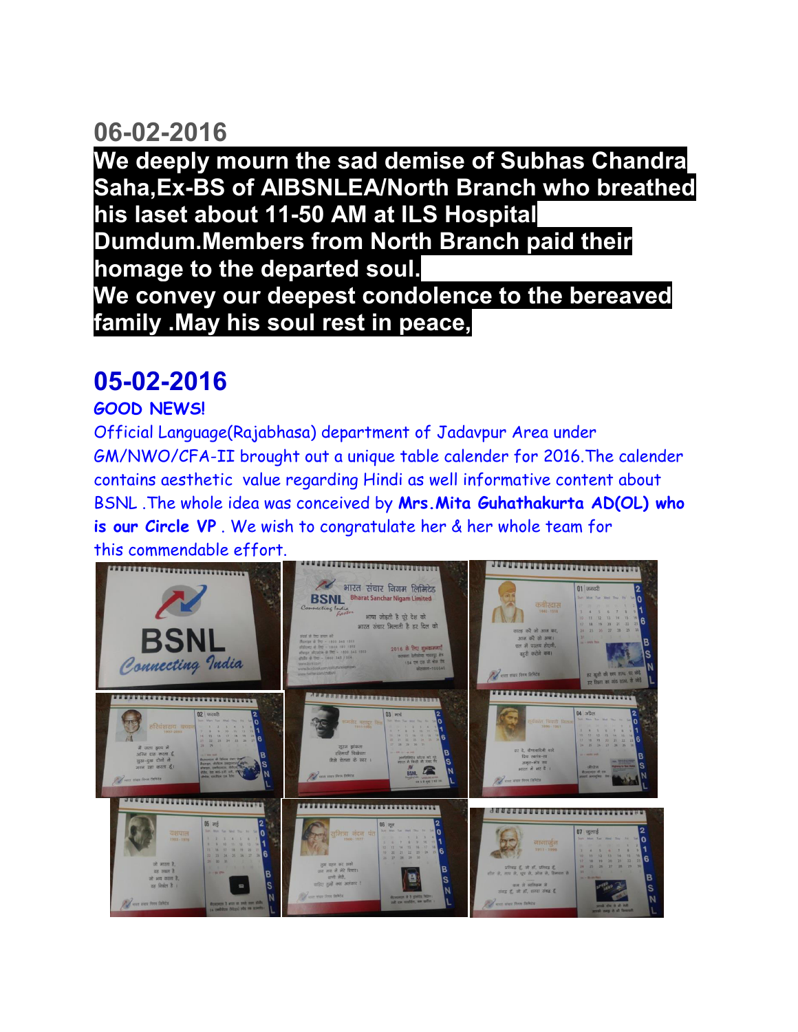**We deeply mourn the sad demise of Subhas Chandra Saha,Ex-BS of AIBSNLEA/North Branch who breathed his laset about 11-50 AM at ILS Hospital Dumdum.Members from North Branch paid their homage to the departed soul. We convey our deepest condolence to the bereaved family .May his soul rest in peace,**

### **05-02-2016**

#### **GOOD NEWS!**

Official Language(Rajabhasa) department of Jadavpur Area under GM/NWO/CFA-II brought out a unique table calender for 2016.The calender contains aesthetic value regarding Hindi as well informative content about BSNL .The whole idea was conceived by **Mrs.Mita Guhathakurta AD(OL) who is our Circle VP** . We wish to congratulate her & her whole team for this commendable effort.

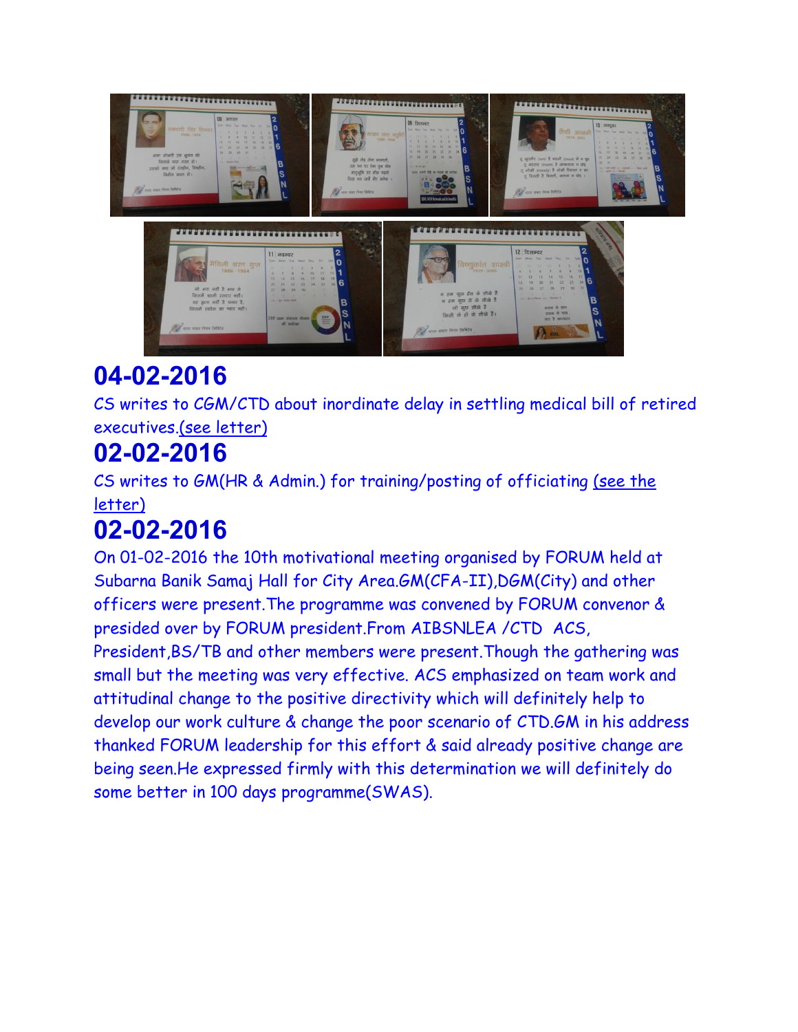

CS writes to CGM/CTD about inordinate delay in settling medical bill of retired executives[.\(see letter\)](http://aibsnleawb.org/ret_medical.PDF)

# **02-02-2016**

CS writes to GM(HR & Admin.) for training/posting of officiating [\(see the](http://aibsnleawb.org/GMHRJTO_O.PDF)  [letter\)](http://aibsnleawb.org/GMHRJTO_O.PDF)

# **02-02-2016**

On 01-02-2016 the 10th motivational meeting organised by FORUM held at Subarna Banik Samaj Hall for City Area.GM(CFA-II),DGM(City) and other officers were present.The programme was convened by FORUM convenor & presided over by FORUM president.From AIBSNLEA /CTD ACS, President,BS/TB and other members were present.Though the gathering was small but the meeting was very effective. ACS emphasized on team work and attitudinal change to the positive directivity which will definitely help to develop our work culture & change the poor scenario of CTD.GM in his address thanked FORUM leadership for this effort & said already positive change are being seen.He expressed firmly with this determination we will definitely do some better in 100 days programme(SWAS).